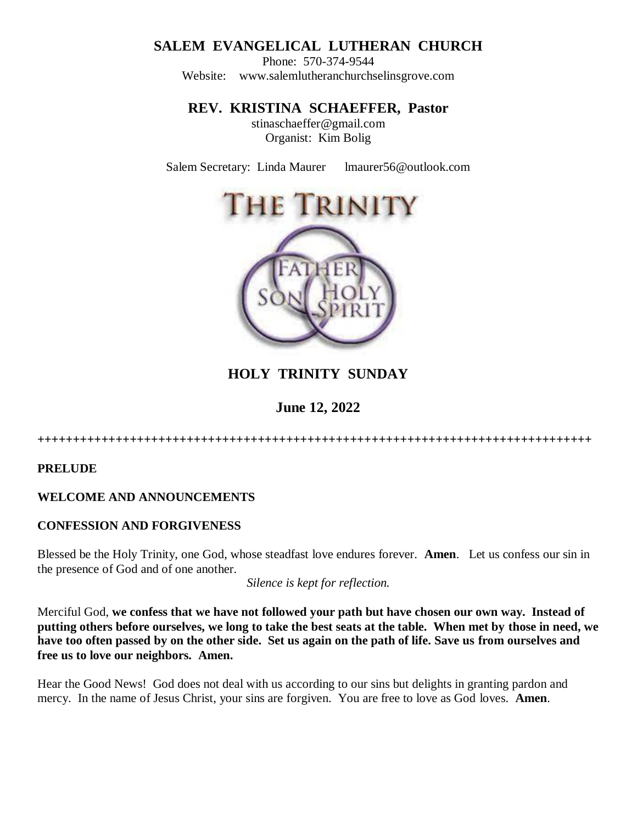# **SALEM EVANGELICAL LUTHERAN CHURCH**

Phone: 570-374-9544 Website: [www.salemlutheranchurchselinsgrove.com](about:blank)

**REV. KRISTINA SCHAEFFER, Pastor** 

stinaschaeffer@gmail.com Organist: Kim Bolig

Salem Secretary: Linda Maurer lmaurer56@outlook.com



# **HOLY TRINITY SUNDAY**

**June 12, 2022**

**++++++++++++++++++++++++++++++++++++++++++++++++++++++++++++++++++++++++++++++**

**PRELUDE**

# **WELCOME AND ANNOUNCEMENTS**

# **CONFESSION AND FORGIVENESS**

Blessed be the Holy Trinity, one God, whose steadfast love endures forever. **Amen**. Let us confess our sin in the presence of God and of one another.

*Silence is kept for reflection.* 

Merciful God, **we confess that we have not followed your path but have chosen our own way. Instead of putting others before ourselves, we long to take the best seats at the table. When met by those in need, we have too often passed by on the other side. Set us again on the path of life. Save us from ourselves and free us to love our neighbors. Amen.**

Hear the Good News! God does not deal with us according to our sins but delights in granting pardon and mercy. In the name of Jesus Christ, your sins are forgiven. You are free to love as God loves. **Amen**.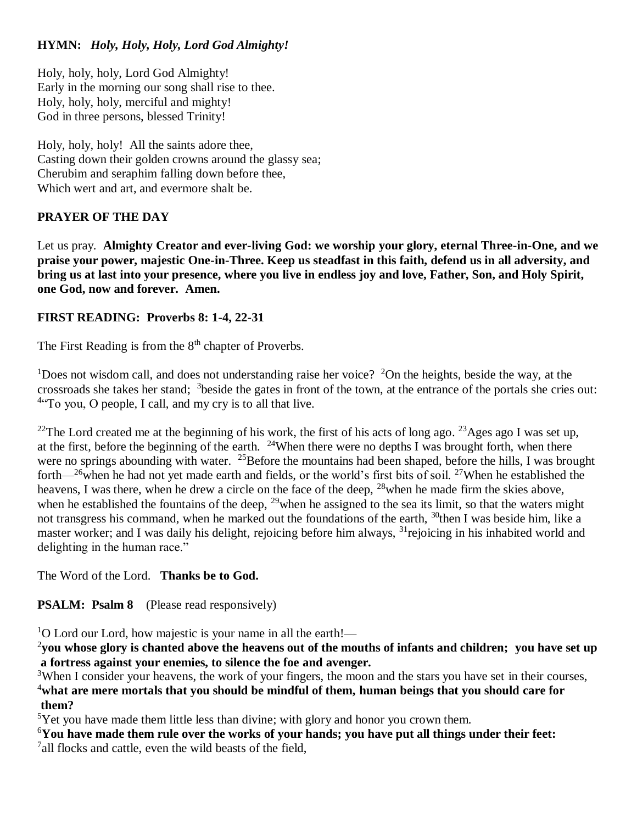# **HYMN:** *Holy, Holy, Holy, Lord God Almighty!*

Holy, holy, holy, Lord God Almighty! Early in the morning our song shall rise to thee. Holy, holy, holy, merciful and mighty! God in three persons, blessed Trinity!

Holy, holy, holy! All the saints adore thee, Casting down their golden crowns around the glassy sea; Cherubim and seraphim falling down before thee, Which wert and art, and evermore shalt be.

# **PRAYER OF THE DAY**

Let us pray. **Almighty Creator and ever-living God: we worship your glory, eternal Three-in-One, and we praise your power, majestic One-in-Three. Keep us steadfast in this faith, defend us in all adversity, and bring us at last into your presence, where you live in endless joy and love, Father, Son, and Holy Spirit, one God, now and forever. Amen.**

# **FIRST READING: Proverbs 8: 1-4, 22-31**

The First Reading is from the  $8<sup>th</sup>$  chapter of Proverbs.

<sup>1</sup>Does not wisdom call, and does not understanding raise her voice? <sup>2</sup>On the heights, beside the way, at the crossroads she takes her stand; 3 beside the gates in front of the town, at the entrance of the portals she cries out: <sup>4</sup>To you, O people, I call, and my cry is to all that live.

<sup>22</sup>The Lord created me at the beginning of his work, the first of his acts of long ago. <sup>23</sup>Ages ago I was set up, at the first, before the beginning of the earth.  $24$ When there were no depths I was brought forth, when there were no springs abounding with water. <sup>25</sup>Before the mountains had been shaped, before the hills, I was brought forth— $^{26}$ when he had not yet made earth and fields, or the world's first bits of soil. <sup>27</sup>When he established the heavens, I was there, when he drew a circle on the face of the deep, <sup>28</sup>when he made firm the skies above. when he established the fountains of the deep,  $^{29}$  when he assigned to the sea its limit, so that the waters might not transgress his command, when he marked out the foundations of the earth, <sup>30</sup>then I was beside him, like a master worker; and I was daily his delight, rejoicing before him always, <sup>31</sup> rejoicing in his inhabited world and delighting in the human race."

The Word of the Lord. **Thanks be to God.** 

# **PSALM: Psalm 8** (Please read responsively)

 $1$ O Lord our Lord, how majestic is your name in all the earth!—

2 **you whose glory is chanted above the heavens out of the mouths of infants and children; you have set up a fortress against your enemies, to silence the foe and avenger.**

 $3$ When I consider your heavens, the work of your fingers, the moon and the stars you have set in their courses, <sup>4</sup>**what are mere mortals that you should be mindful of them, human beings that you should care for them?**

 $5$ Yet you have made them little less than divine; with glory and honor you crown them.

<sup>6</sup>**You have made them rule over the works of your hands; you have put all things under their feet:** <sup>7</sup>all flocks and cattle, even the wild beasts of the field,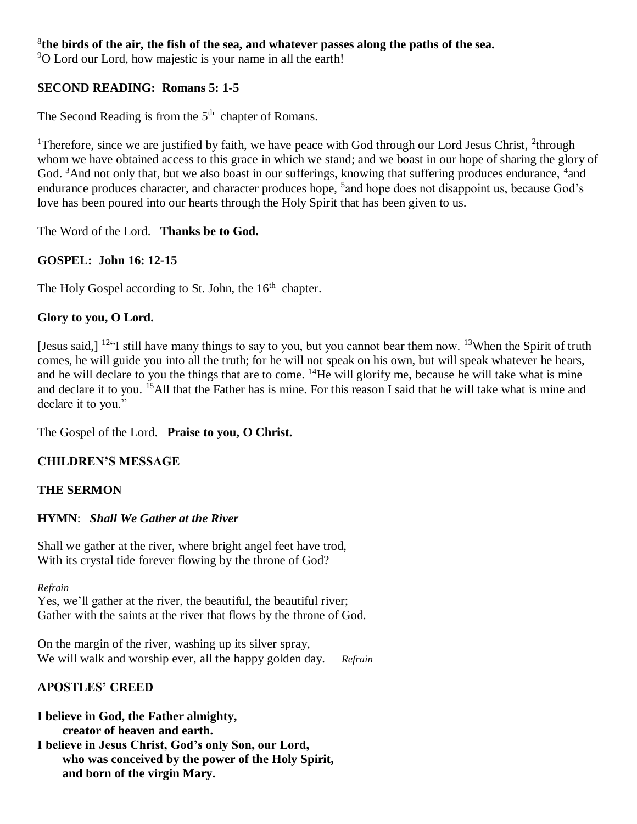#### 8 **the birds of the air, the fish of the sea, and whatever passes along the paths of the sea.**

<sup>9</sup>O Lord our Lord, how majestic is your name in all the earth!

#### **SECOND READING: Romans 5: 1-5**

The Second Reading is from the  $5<sup>th</sup>$  chapter of Romans.

<sup>1</sup>Therefore, since we are justified by faith, we have peace with God through our Lord Jesus Christ,  $2$ <sup>1</sup>through whom we have obtained access to this grace in which we stand; and we boast in our hope of sharing the glory of God. <sup>3</sup>And not only that, but we also boast in our sufferings, knowing that suffering produces endurance, <sup>4</sup>and endurance produces character, and character produces hope, <sup>5</sup> and hope does not disappoint us, because God's love has been poured into our hearts through the Holy Spirit that has been given to us.

The Word of the Lord. **Thanks be to God.** 

# **GOSPEL: John 16: 12-15**

The Holy Gospel according to St. John, the 16<sup>th</sup> chapter.

#### **Glory to you, O Lord.**

[Jesus said,]  $12\text{°}$  still have many things to say to you, but you cannot bear them now.  $13$ When the Spirit of truth comes, he will guide you into all the truth; for he will not speak on his own, but will speak whatever he hears, and he will declare to you the things that are to come. <sup>14</sup>He will glorify me, because he will take what is mine and declare it to you. <sup>15</sup>All that the Father has is mine. For this reason I said that he will take what is mine and declare it to you."

The Gospel of the Lord. **Praise to you, O Christ.** 

# **CHILDREN'S MESSAGE**

# **THE SERMON**

#### **HYMN**: *Shall We Gather at the River*

Shall we gather at the river, where bright angel feet have trod, With its crystal tide forever flowing by the throne of God?

*Refrain*

Yes, we'll gather at the river, the beautiful, the beautiful river; Gather with the saints at the river that flows by the throne of God.

On the margin of the river, washing up its silver spray, We will walk and worship ever, all the happy golden day. *Refrain*

# **APOSTLES' CREED**

**I believe in God, the Father almighty, creator of heaven and earth. I believe in Jesus Christ, God's only Son, our Lord, who was conceived by the power of the Holy Spirit, and born of the virgin Mary.**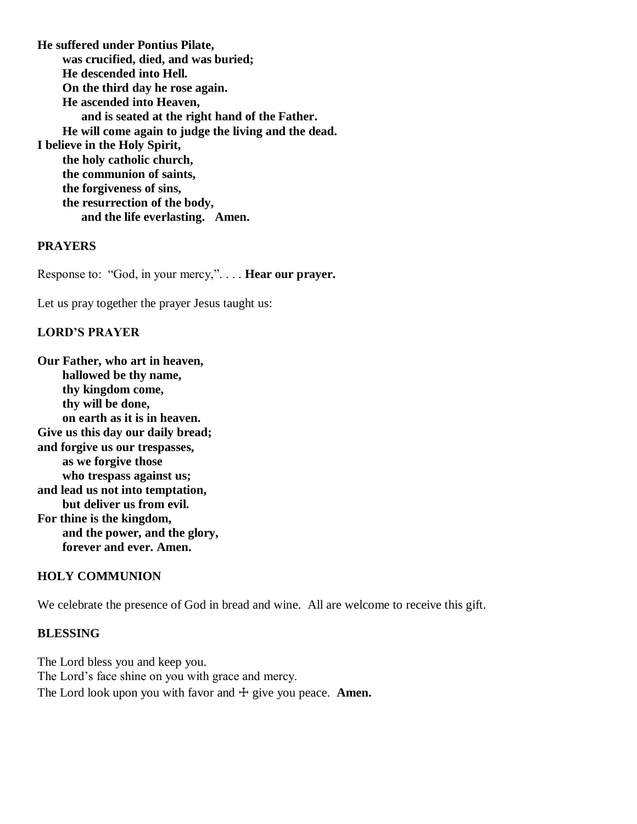**He suffered under Pontius Pilate, was crucified, died, and was buried; He descended into Hell. On the third day he rose again. He ascended into Heaven, and is seated at the right hand of the Father. He will come again to judge the living and the dead. I believe in the Holy Spirit, the holy catholic church, the communion of saints, the forgiveness of sins, the resurrection of the body, and the life everlasting. Amen.**

#### **PRAYERS**

Response to: "God, in your mercy,". . . . **Hear our prayer.**

Let us pray together the prayer Jesus taught us:

#### **LORD'S PRAYER**

**Our Father, who art in heaven, hallowed be thy name, thy kingdom come, thy will be done, on earth as it is in heaven. Give us this day our daily bread; and forgive us our trespasses, as we forgive those who trespass against us; and lead us not into temptation, but deliver us from evil. For thine is the kingdom, and the power, and the glory, forever and ever. Amen.**

#### **HOLY COMMUNION**

We celebrate the presence of God in bread and wine. All are welcome to receive this gift.

#### **BLESSING**

The Lord bless you and keep you. The Lord's face shine on you with grace and mercy. The Lord look upon you with favor and  $\pm$  give you peace. **Amen.**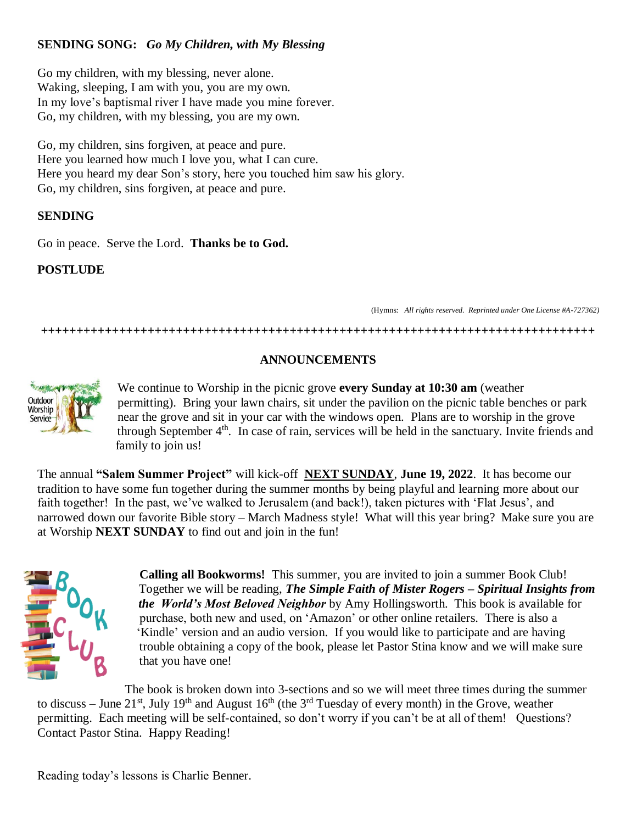# **SENDING SONG:** *Go My Children, with My Blessing*

Go my children, with my blessing, never alone. Waking, sleeping, I am with you, you are my own. In my love's baptismal river I have made you mine forever. Go, my children, with my blessing, you are my own.

Go, my children, sins forgiven, at peace and pure. Here you learned how much I love you, what I can cure. Here you heard my dear Son's story, here you touched him saw his glory. Go, my children, sins forgiven, at peace and pure.

#### **SENDING**

Go in peace. Serve the Lord. **Thanks be to God.**

#### **POSTLUDE**

(Hymns: *All rights reserved. Reprinted under One License #A-727362)*

**++++++++++++++++++++++++++++++++++++++++++++++++++++++++++++++++++++++++++++++**

# **ANNOUNCEMENTS**



 We continue to Worship in the picnic grove **every Sunday at 10:30 am** (weather permitting). Bring your lawn chairs, sit under the pavilion on the picnic table benches or park near the grove and sit in your car with the windows open. Plans are to worship in the grove through September  $4<sup>th</sup>$ . In case of rain, services will be held in the sanctuary. Invite friends and family to join us!

The annual **"Salem Summer Project"** will kick-off **NEXT SUNDAY**, **June 19, 2022**. It has become our tradition to have some fun together during the summer months by being playful and learning more about our faith together! In the past, we've walked to Jerusalem (and back!), taken pictures with 'Flat Jesus', and narrowed down our favorite Bible story – March Madness style! What will this year bring? Make sure you are at Worship **NEXT SUNDAY** to find out and join in the fun!



**Calling all Bookworms!** This summer, you are invited to join a summer Book Club! Together we will be reading, *The Simple Faith of Mister Rogers – Spiritual Insights from the World's Most Beloved Neighbor* by Amy Hollingsworth. This book is available for purchase, both new and used, on 'Amazon' or other online retailers. There is also a 'Kindle' version and an audio version. If you would like to participate and are having trouble obtaining a copy of the book, please let Pastor Stina know and we will make sure that you have one!

 The book is broken down into 3-sections and so we will meet three times during the summer to discuss – June 21<sup>st</sup>, July 19<sup>th</sup> and August 16<sup>th</sup> (the 3<sup>rd</sup> Tuesday of every month) in the Grove, weather permitting. Each meeting will be self-contained, so don't worry if you can't be at all of them! Questions? Contact Pastor Stina. Happy Reading!

Reading today's lessons is Charlie Benner.